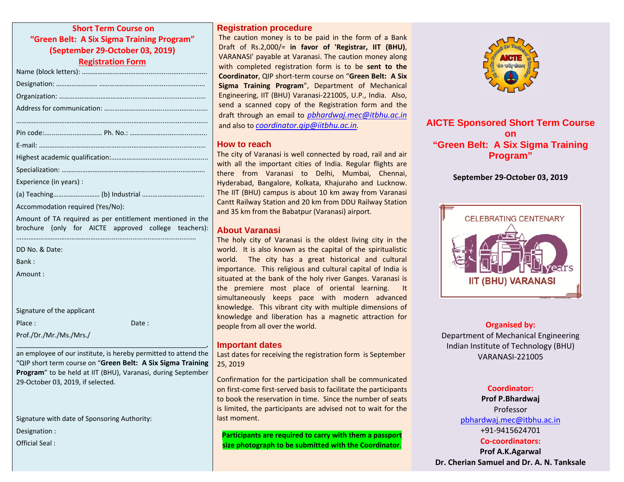**Short Term Course on "Green Belt: A Six Sigma Training Program" (September 29‐October 03, 2019)**

**Registration Form**

| Experience (in years): |
|------------------------|
|                        |

Accommodation required (Yes/No):

Amount of TA required as per entitlement mentioned in the brochure (only for AICTE approved college teachers):

|  | DD No. & Date: |
|--|----------------|
|  |                |

Bank :

Amount :

| Signature of the applicant |  |
|----------------------------|--|
| Place:                     |  |

Prof./Dr./Mr./Ms./Mrs./

an employee of our institute, is hereby permitted to attend the "QIP short term course on "**Green Belt: A Six Sigma Training Program**" to be held at IIT (BHU), Varanasi, during September 29‐October 03, 2019, if selected.

 $\overline{\phantom{a}}$ 

: Date :

Signature with date of Sponsoring Authority:

Designation :

Official Seal :

## **Registration procedure**

The caution money is to be paid in the form of <sup>a</sup> Bank Draft of Rs.2,000/= **in favor of 'Registrar, IIT (BHU)**, VARANASI' payable at Varanasi. The caution money along with completed registration form is to be **sent to the Coordinator**, QIP short‐term course on "**Green Belt: A Six Sigma Training Program**", Department of Mechanical Engineering, IIT (BHU) Varanasi‐221005, U.P., India. Also, send <sup>a</sup> scanned copy of the Registration form and the draft through an email to *[pbhardwaj.mec@itbhu.ac.in](mailto:pbhardwaj.mec@itbhu.ac.in)* and also to *[coordinator.qip@iitbhu.ac.in](mailto:coordinator.qip@iitbhu.ac.in).*

## **How to reach**

The city of Varanasi is well connected by road, rail and air with all the important cities of India. Regular flights are there from Varanasi to Delhi, Mumbai, Chennai, Hyderabad, Bangalore, Kolkata, Khajuraho and Lucknow. The IIT (BHU) campus is about 10 km away from Varanasi Cantt Railway Station and 20 km from DDU Railway Station and 35 km from the Babatpur (Varanasi) airport.

# **About Varanasi**

The holy city of Varanasi is the oldest living city in the world. It is also known as the capital of the spiritualistic world. The city has <sup>a</sup> great historical and cultural importance. This religious and cultural capital of India is situated at the bank of the holy river Ganges. Varanasi is the premiere most place of oriental learning. It simultaneously keeps pace with modern advanced knowledge. This vibrant city with multiple dimensions of knowledge and liberation has <sup>a</sup> magnetic attraction for people from all over the world.

# **Important dates**

Last dates for receiving the registration form is September 25, 2019

Confirmation for the participation shall be communicated on first‐come first‐served basis to facilitate the participants to book the reservation in time. Since the number of seats is limited, the participants are advised not to wait for the last moment.

**Participants are required to carry with them <sup>a</sup> passport size photograph to be submitted with the Coordinator**.



**AICTE Sponsored Short Term Course on "Green Belt: A Six Sigma Training Program"** 

## **September 29‐October 03, 2019**



**Organised by:** Department of Mechanical Engineering Indian Institute of Technology (BHU) VARANASI‐221005

## **Coordinator:**

**Prof P.Bhardwaj** Professor[pbhardwaj.mec@itbhu.ac.in](mailto:csamuel.mec@itbhu.ac.in) +91‐9415624701**Co‐coordinators:**

**Prof A.K.Agarwal Dr. Cherian Samuel and Dr. A. N. Tanksale**